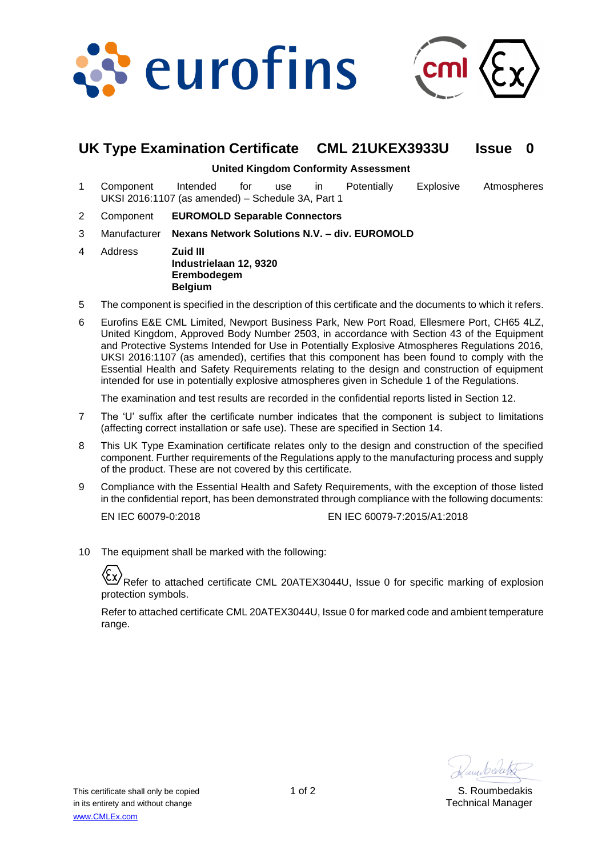



# **UK Type Examination Certificate CML 21UKEX3933U Issue 0**

#### **United Kingdom Conformity Assessment**

- 1 Component Intended for use in Potentially Explosive Atmospheres UKSI 2016:1107 (as amended) – Schedule 3A, Part 1
- 2 Component **EUROMOLD Separable Connectors**
- 3 Manufacturer **Nexans Network Solutions N.V. – div. EUROMOLD**
- 4 Address **Zuid III Industrielaan 12, 9320 Erembodegem Belgium**
- 5 The component is specified in the description of this certificate and the documents to which it refers.
- 6 Eurofins E&E CML Limited, Newport Business Park, New Port Road, Ellesmere Port, CH65 4LZ, United Kingdom, Approved Body Number 2503, in accordance with Section 43 of the Equipment and Protective Systems Intended for Use in Potentially Explosive Atmospheres Regulations 2016, UKSI 2016:1107 (as amended), certifies that this component has been found to comply with the Essential Health and Safety Requirements relating to the design and construction of equipment intended for use in potentially explosive atmospheres given in Schedule 1 of the Regulations.

The examination and test results are recorded in the confidential reports listed in Section 12.

- 7 The 'U' suffix after the certificate number indicates that the component is subject to limitations (affecting correct installation or safe use). These are specified in Section 14.
- 8 This UK Type Examination certificate relates only to the design and construction of the specified component. Further requirements of the Regulations apply to the manufacturing process and supply of the product. These are not covered by this certificate.
- 9 Compliance with the Essential Health and Safety Requirements, with the exception of those listed in the confidential report, has been demonstrated through compliance with the following documents:

EN IEC 60079-0:2018 EN IEC 60079-7:2015/A1:2018

10 The equipment shall be marked with the following:

Refer to attached certificate CML 20ATEX3044U, Issue 0 for specific marking of explosion protection symbols.

Refer to attached certificate CML 20ATEX3044U, Issue 0 for marked code and ambient temperature range.

Hamberato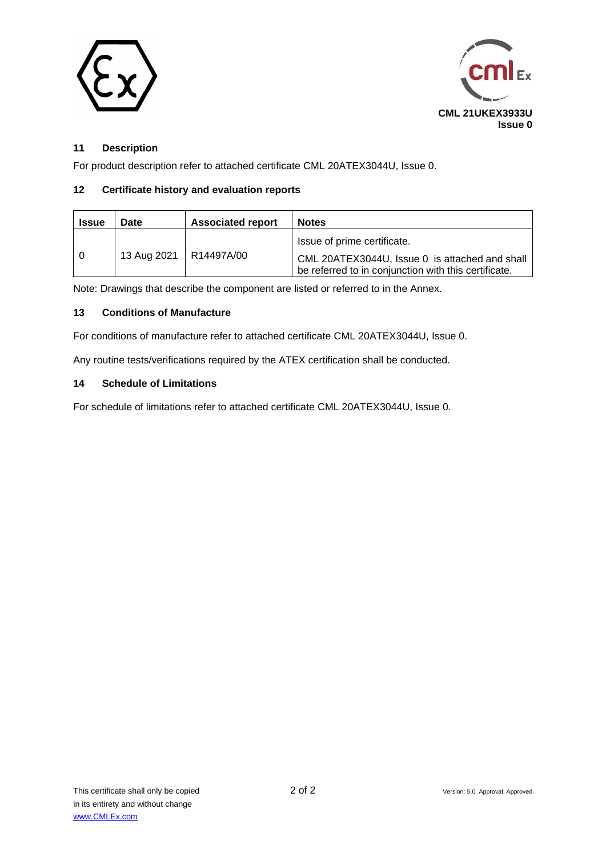



## **11 Description**

For product description refer to attached certificate CML 20ATEX3044U, Issue 0.

### **12 Certificate history and evaluation reports**

| <b>Issue</b> | Date                     | <b>Associated report</b> | <b>Notes</b>                                                                                                                          |
|--------------|--------------------------|--------------------------|---------------------------------------------------------------------------------------------------------------------------------------|
|              | 13 Aug 2021   R14497A/00 |                          | Issue of prime certificate.<br>CML 20ATEX3044U, Issue 0 is attached and shall<br>be referred to in conjunction with this certificate. |

Note: Drawings that describe the component are listed or referred to in the Annex.

### **13 Conditions of Manufacture**

For conditions of manufacture refer to attached certificate CML 20ATEX3044U, Issue 0.

Any routine tests/verifications required by the ATEX certification shall be conducted.

#### **14 Schedule of Limitations**

For schedule of limitations refer to attached certificate CML 20ATEX3044U, Issue 0.